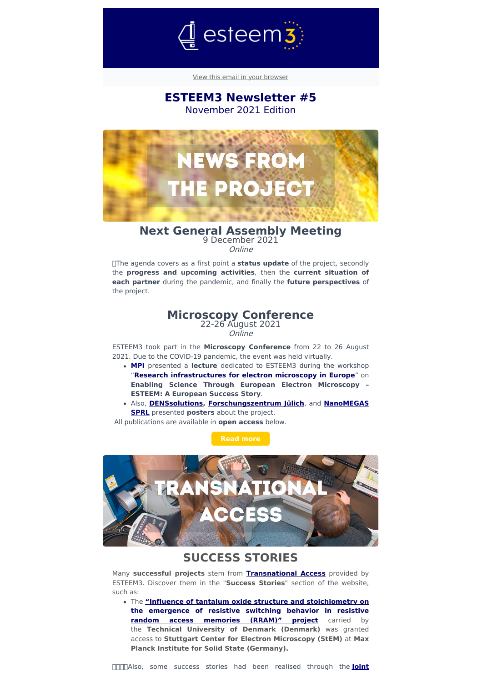

View this email in your [browser](file:///var/www/html/public/%7B%7B%20mirror%20%7D%7D)

## **ESTEEM3 Newsletter #5** November 2021 Edition



### **Next General Assembly Meeting** 9 December 2021

Online

The agenda covers as a first point a **status update** of the project, secondly the **progress and upcoming activities**, then the **current situation of each partner** during the pandemic, and finally the **future perspectives** of the project.

## **Microscopy Conference**

22-26 August 2021 Online

ESTEEM3 took part in the **Microscopy Conference** from 22 to 26 August 2021. Due to the COVID-19 pandemic, the event was held virtually.

- **[MPI](http://www.fkf.mpg.de/StEM?utm_source=sendinblue&utm_campaign=ESTEEM3%20Newsletter%205%20%20-%20November%202021%20Edition&utm_medium=email)** presented a **lecture** dedicated to ESTEEM3 during the workshop "**Research [infrastructures](https://www.esteem3.eu/lw_resource/datapool/systemfiles/agent/news/07f82460-118d-11ec-b2e5-005056a57bd2/work/document/PVA_ESTEEM3_presentation_achievements_TA-NA-JRA.pdf?utm_source=sendinblue&utm_campaign=ESTEEM3%20Newsletter%205%20%20-%20November%202021%20Edition&utm_medium=email) for electron microscopy in Europe**" on **Enabling Science Through European Electron Microscopy – ESTEEM: A European Success Story**.
- Also, **[DENSsolutions](https://denssolutions.com/?utm_source=sendinblue&utm_campaign=ESTEEM3%20Newsletter%205%20%20-%20November%202021%20Edition&utm_medium=email), [Forschungszentrum](http://www.fz-juelich.de/portal/EN/Home/home_node.html;jsessionid=D7E1048C7245025802FD064D035573ED?utm_source=sendinblue&utm_campaign=ESTEEM3%20Newsletter%205%20%20-%20November%202021%20Edition&utm_medium=email) Jülich**, and **NanoMEGAS SPRL** presented **posters** about the project.

All publications are available in **open access** below.



## **SUCCESS STORIES**

Many **successful projects** stem from **[Transnational](https://www.esteem3.eu/index.php?index=122&utm_source=sendinblue&utm_campaign=ESTEEM3%20Newsletter%205%20%20-%20November%202021%20Edition&utm_medium=email) Access** provided by ESTEEM3. Discover them in the "**Success Stories**" section of the website, such as:

The **"Influence of tantalum oxide structure and [stoichiometry](https://www.esteem3.eu/news?backRef=86&news=success_stories_ITO_RRAM&utm_source=sendinblue&utm_campaign=ESTEEM3%20Newsletter%205%20%20-%20November%202021%20Edition&utm_medium=email) on the emergence of resistive switching behavior in resistive random access memories (RRAM)" project** carried by the **Technical University of Denmark (Denmark)** was granted access to **Stuttgart Center for Electron Microscopy (StEM)** at **Max Planck Institute for Solid State (Germany).**

[Also,](https://www.esteem3.eu/research?utm_source=sendinblue&utm_campaign=ESTEEM3%20Newsletter%205%20%20-%20November%202021%20Edition&utm_medium=email) some success stories had been realised through the **Joint**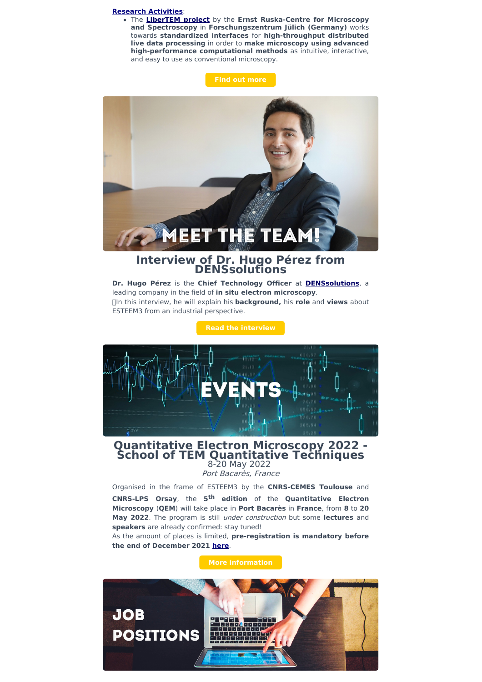#### **Research [Activities](https://www.esteem3.eu/research?utm_source=sendinblue&utm_campaign=ESTEEM3%20Newsletter%205%20%20-%20November%202021%20Edition&utm_medium=email)**:

The **[LiberTEM](https://www.esteem3.eu/news?backRef=86&news=JRA_Success_Stories_LiberTEM&utm_source=sendinblue&utm_campaign=ESTEEM3%20Newsletter%205%20%20-%20November%202021%20Edition&utm_medium=email) project** by the **Ernst Ruska-Centre for Microscopy and Spectroscopy** in **Forschungszentrum Jülich (Germany)** works towards **standardized interfaces** for **high-throughput distributed live data processing** in order to **make microscopy using advanced high-performance computational methods** as intuitive, interactive, and easy to use as conventional microscopy.

**Find out [more](https://www.esteem3.eu/success-stories?utm_source=sendinblue&utm_campaign=ESTEEM3%20Newsletter%205%20%20-%20November%202021%20Edition&utm_medium=email)**



## **Interview of Dr. Hugo Pérez from DENSsolutions**

**Dr. Hugo Pérez** is the **Chief Technology Officer** at **[DENSsolutions](http://denssolutions.com/?utm_source=sendinblue&utm_campaign=ESTEEM3%20Newsletter%205%20%20-%20November%202021%20Edition&utm_medium=email)**, a leading company in the field of **in situ electron microscopy**. In this interview, he will explain his **background,** his **role** and **views** about ESTEEM3 from an industrial perspective.



# **Quantitative Electron Microscopy <sup>2022</sup> - School of TEM Quantitative Techniques** 8-20 May 2022

Port Bacarès, France

Organised in the frame of ESTEEM3 by the **CNRS-CEMES Toulouse** and **CNRS-LPS Orsay**, the **5 th edition** of the **Quantitative Electron Microscopy** (**QEM**) will take place in **Port Bacarès** in **France**, from **8** to **20 May 2022**. The program is still under construction but some **lectures** and **speakers** are already confirmed: stay tuned!

As the amount of places is limited, **pre-registration is mandatory before the end of December 2021 [here](https://qem2021.sciencesconf.org/registration?utm_source=sendinblue&utm_campaign=ESTEEM3%20Newsletter%205%20%20-%20November%202021%20Edition&utm_medium=email)**.